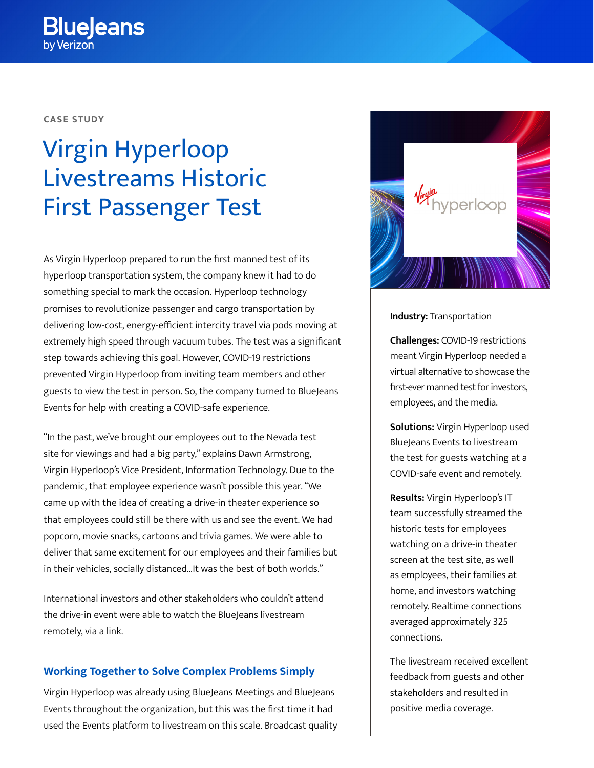**CASE STUDY**

# Virgin Hyperloop Livestreams Historic First Passenger Test

As Virgin Hyperloop prepared to run the first manned test of its hyperloop transportation system, the company knew it had to do something special to mark the occasion. Hyperloop technology promises to revolutionize passenger and cargo transportation by delivering low-cost, energy-efficient intercity travel via pods moving at extremely high speed through vacuum tubes. The test was a significant step towards achieving this goal. However, COVID-19 restrictions prevented Virgin Hyperloop from inviting team members and other guests to view the test in person. So, the company turned to BlueJeans Events for help with creating a COVID-safe experience.

"In the past, we've brought our employees out to the Nevada test site for viewings and had a big party," explains Dawn Armstrong, Virgin Hyperloop's Vice President, Information Technology. Due to the pandemic, that employee experience wasn't possible this year. "We came up with the idea of creating a drive-in theater experience so that employees could still be there with us and see the event. We had popcorn, movie snacks, cartoons and trivia games. We were able to deliver that same excitement for our employees and their families but in their vehicles, socially distanced…It was the best of both worlds."

International investors and other stakeholders who couldn't attend the drive-in event were able to watch the BlueJeans livestream remotely, via a link.

## **Working Together to Solve Complex Problems Simply**

Virgin Hyperloop was already using BlueJeans Meetings and BlueJeans Events throughout the organization, but this was the first time it had used the Events platform to livestream on this scale. Broadcast quality



**Industry:** Transportation

**Challenges:** COVID-19 restrictions meant Virgin Hyperloop needed a virtual alternative to showcase the first-ever manned test for investors, employees, and the media.

**Solutions:** Virgin Hyperloop used BlueJeans Events to livestream the test for guests watching at a COVID-safe event and remotely.

**Results:** Virgin Hyperloop's IT team successfully streamed the historic tests for employees watching on a drive-in theater screen at the test site, as well as employees, their families at home, and investors watching remotely. Realtime connections averaged approximately 325 connections.

The livestream received excellent feedback from guests and other stakeholders and resulted in positive media coverage.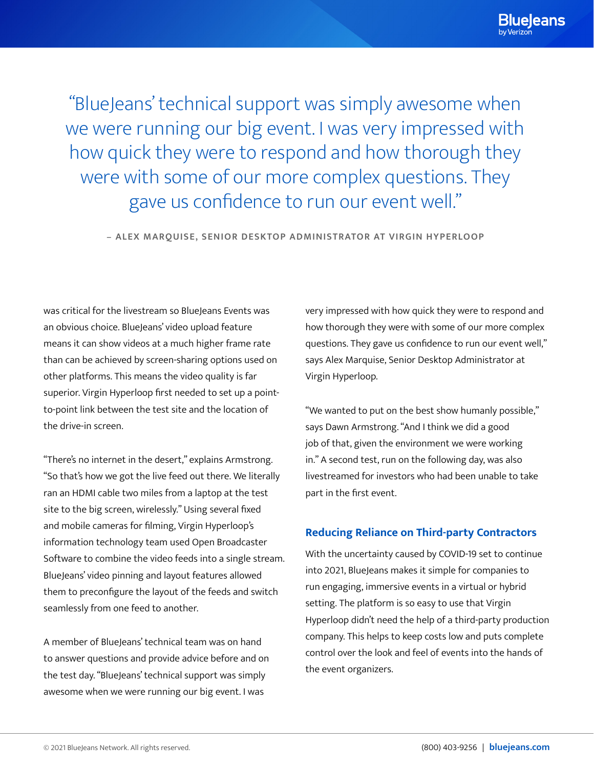"BlueJeans' technical support was simply awesome when we were running our big event. I was very impressed with how quick they were to respond and how thorough they were with some of our more complex questions. They gave us confidence to run our event well."

**– ALEX MARQUISE, SENIOR DESKTOP ADMINISTRATOR AT VIRGIN HYPERLOOP**

was critical for the livestream so BlueJeans Events was an obvious choice. BlueJeans' video upload feature means it can show videos at a much higher frame rate than can be achieved by screen-sharing options used on other platforms. This means the video quality is far superior. Virgin Hyperloop first needed to set up a pointto-point link between the test site and the location of the drive-in screen.

"There's no internet in the desert," explains Armstrong. "So that's how we got the live feed out there. We literally ran an HDMI cable two miles from a laptop at the test site to the big screen, wirelessly." Using several fixed and mobile cameras for filming, Virgin Hyperloop's information technology team used Open Broadcaster Software to combine the video feeds into a single stream. BlueJeans' video pinning and layout features allowed them to preconfigure the layout of the feeds and switch seamlessly from one feed to another.

A member of BlueJeans' technical team was on hand to answer questions and provide advice before and on the test day. "BlueJeans' technical support was simply awesome when we were running our big event. I was

very impressed with how quick they were to respond and how thorough they were with some of our more complex questions. They gave us confidence to run our event well," says Alex Marquise, Senior Desktop Administrator at Virgin Hyperloop.

"We wanted to put on the best show humanly possible," says Dawn Armstrong. "And I think we did a good job of that, given the environment we were working in." A second test, run on the following day, was also livestreamed for investors who had been unable to take part in the first event.

## **Reducing Reliance on Third-party Contractors**

With the uncertainty caused by COVID-19 set to continue into 2021, BlueJeans makes it simple for companies to run engaging, immersive events in a virtual or hybrid setting. The platform is so easy to use that Virgin Hyperloop didn't need the help of a third-party production company. This helps to keep costs low and puts complete control over the look and feel of events into the hands of the event organizers.